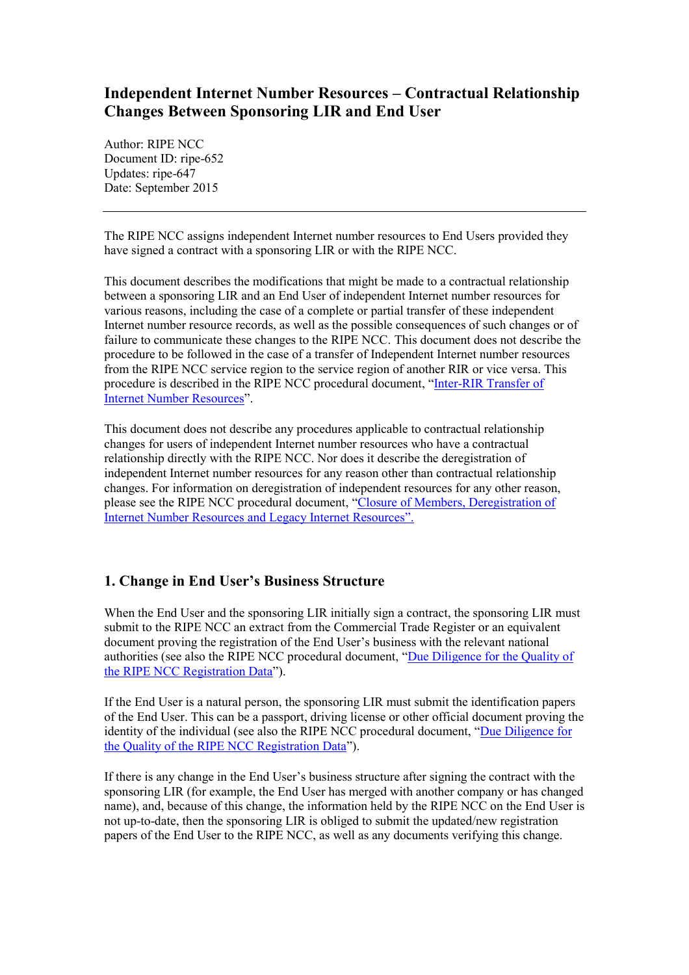# **Independent Internet Number Resources – Contractual Relationship Changes Between Sponsoring LIR and End User**

Author: RIPE NCC Document ID: ripe-652 Updates: ripe-647 Date: September 2015

The RIPE NCC assigns independent Internet number resources to End Users provided they have signed a contract with a sponsoring LIR or with the RIPE NCC.

This document describes the modifications that might be made to a contractual relationship between a sponsoring LIR and an End User of independent Internet number resources for various reasons, including the case of a complete or partial transfer of these independent Internet number resource records, as well as the possible consequences of such changes or of failure to communicate these changes to the RIPE NCC. This document does not describe the procedure to be followed in the case of a transfer of Independent Internet number resources from the RIPE NCC service region to the service region of another RIR or vice versa. This procedure is described in the RIPE NCC procedural document, "[Inter-RIR Transfer of](https://www.ripe.net/publications/docs/inter-rir-transfer-of-inr)  [Internet Number Resources](https://www.ripe.net/publications/docs/inter-rir-transfer-of-inr)".

This document does not describe any procedures applicable to contractual relationship changes for users of independent Internet number resources who have a contractual relationship directly with the RIPE NCC. Nor does it describe the deregistration of independent Internet number resources for any reason other than contractual relationship changes. For information on deregistration of independent resources for any other reason, please see the RIPE NCC procedural document, "[Closure of Members,](https://www.ripe.net/publications/docs/closure) Deregistration of [Internet Number Resources](https://www.ripe.net/publications/docs/closure) and Legacy Internet Resources".

## **1. Change in End User's Business Structure**

When the End User and the sponsoring LIR initially sign a contract, the sponsoring LIR must submit to the RIPE NCC an extract from the Commercial Trade Register or an equivalent document proving the registration of the End User's business with the relevant national authorities (see also the RIPE NCC procedural document, "[Due Diligence for the Quality of](http://www.ripe.net/publications/docs/due-diligence)  [the RIPE NCC Registration Data](http://www.ripe.net/publications/docs/due-diligence)").

If the End User is a natural person, the sponsoring LIR must submit the identification papers of the End User. This can be a passport, driving license or other official document proving the identity of the individual (see also the RIPE NCC procedural document, "[Due Diligence for](http://www.ripe.net/publications/docs/due-diligence)  [the Quality of the RIPE NCC Registration Data](http://www.ripe.net/publications/docs/due-diligence)").

If there is any change in the End User's business structure after signing the contract with the sponsoring LIR (for example, the End User has merged with another company or has changed name), and, because of this change, the information held by the RIPE NCC on the End User is not up-to-date, then the sponsoring LIR is obliged to submit the updated/new registration papers of the End User to the RIPE NCC, as well as any documents verifying this change.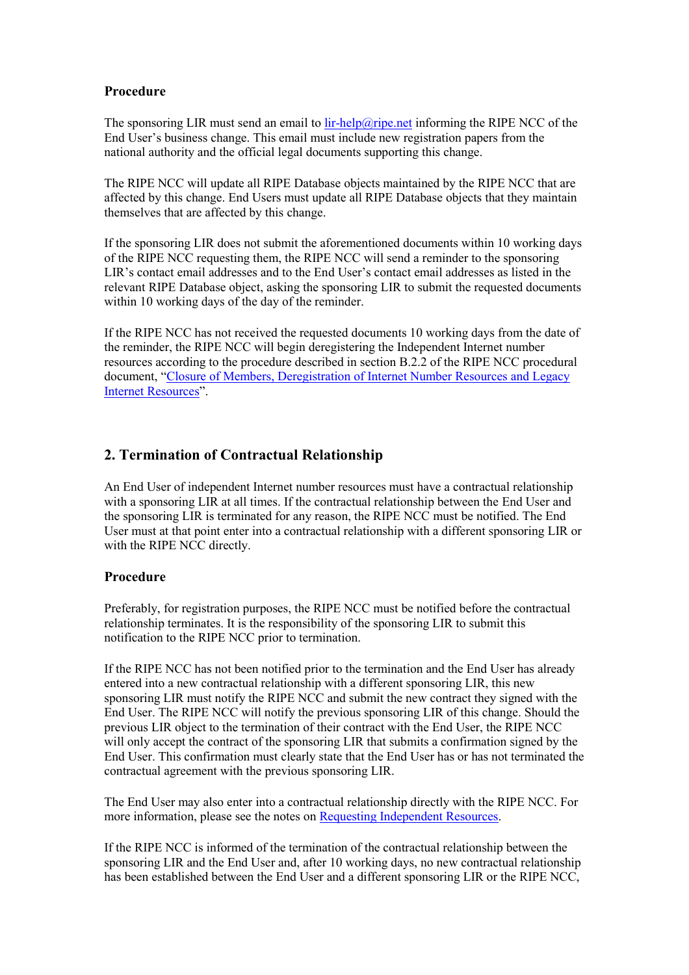### **Procedure**

The sponsoring LIR must send an email to lin-help@ripe.net informing the RIPE NCC of the End User's business change. This email must include new registration papers from the national authority and the official legal documents supporting this change.

The RIPE NCC will update all RIPE Database objects maintained by the RIPE NCC that are affected by this change. End Users must update all RIPE Database objects that they maintain themselves that are affected by this change.

If the sponsoring LIR does not submit the aforementioned documents within 10 working days of the RIPE NCC requesting them, the RIPE NCC will send a reminder to the sponsoring LIR's contact email addresses and to the End User's contact email addresses as listed in the relevant RIPE Database object, asking the sponsoring LIR to submit the requested documents within 10 working days of the day of the reminder.

If the RIPE NCC has not received the requested documents 10 working days from the date of the reminder, the RIPE NCC will begin deregistering the Independent Internet number resources according to the procedure described in section B.2.2 of the RIPE NCC procedural document, "[Closure of Members, Deregistration of Internet Number Resources](https://www.ripe.net/publications/docs/closure) and Legacy [Internet Resources](https://www.ripe.net/publications/docs/closure)".

### **2. Termination of Contractual Relationship**

An End User of independent Internet number resources must have a contractual relationship with a sponsoring LIR at all times. If the contractual relationship between the End User and the sponsoring LIR is terminated for any reason, the RIPE NCC must be notified. The End User must at that point enter into a contractual relationship with a different sponsoring LIR or with the RIPE NCC directly.

#### **Procedure**

Preferably, for registration purposes, the RIPE NCC must be notified before the contractual relationship terminates. It is the responsibility of the sponsoring LIR to submit this notification to the RIPE NCC prior to termination.

If the RIPE NCC has not been notified prior to the termination and the End User has already entered into a new contractual relationship with a different sponsoring LIR, this new sponsoring LIR must notify the RIPE NCC and submit the new contract they signed with the End User. The RIPE NCC will notify the previous sponsoring LIR of this change. Should the previous LIR object to the termination of their contract with the End User, the RIPE NCC will only accept the contract of the sponsoring LIR that submits a confirmation signed by the End User. This confirmation must clearly state that the End User has or has not terminated the contractual agreement with the previous sponsoring LIR.

The End User may also enter into a contractual relationship directly with the RIPE NCC. For more information, please see the notes o[n Requesting Independent Resources.](https://www.ripe.net/participate/resource-management/independent-resources)

If the RIPE NCC is informed of the termination of the contractual relationship between the sponsoring LIR and the End User and, after 10 working days, no new contractual relationship has been established between the End User and a different sponsoring LIR or the RIPE NCC,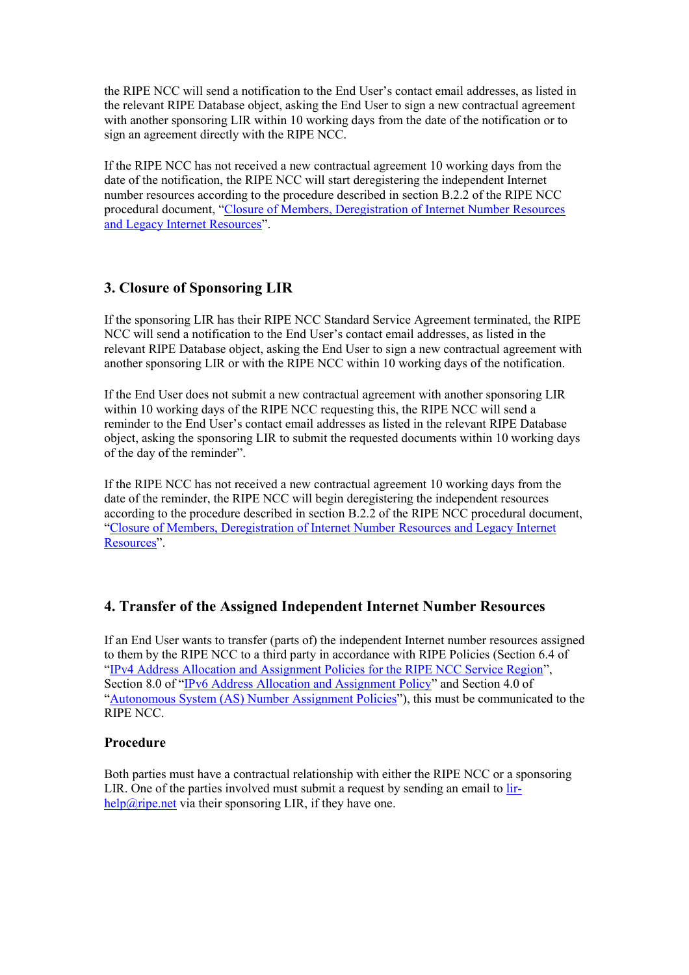the RIPE NCC will send a notification to the End User's contact email addresses, as listed in the relevant RIPE Database object, asking the End User to sign a new contractual agreement with another sponsoring LIR within 10 working days from the date of the notification or to sign an agreement directly with the RIPE NCC.

If the RIPE NCC has not received a new contractual agreement 10 working days from the date of the notification, the RIPE NCC will start deregistering the independent Internet number resources according to the procedure described in section B.2.2 of the RIPE NCC procedural document, "Closure of Members, [Deregistration of Internet Number Resources](https://www.ripe.net/publications/docs/closure) [and Legacy Internet Resources](https://www.ripe.net/publications/docs/closure)".

## **3. Closure of Sponsoring LIR**

If the sponsoring LIR has their RIPE NCC Standard Service Agreement terminated, the RIPE NCC will send a notification to the End User's contact email addresses, as listed in the relevant RIPE Database object, asking the End User to sign a new contractual agreement with another sponsoring LIR or with the RIPE NCC within 10 working days of the notification.

If the End User does not submit a new contractual agreement with another sponsoring LIR within 10 working days of the RIPE NCC requesting this, the RIPE NCC will send a reminder to the End User's contact email addresses as listed in the relevant RIPE Database object, asking the sponsoring LIR to submit the requested documents within 10 working days of the day of the reminder".

If the RIPE NCC has not received a new contractual agreement 10 working days from the date of the reminder, the RIPE NCC will begin deregistering the independent resources according to the procedure described in section B.2.2 of the RIPE NCC procedural document, "[Closure of Members, Deregistration of Internet Number Resources](https://www.ripe.net/publications/docs/closure) and Legacy Internet [Resources](https://www.ripe.net/publications/docs/closure)".

## **4. Transfer of the Assigned Independent Internet Number Resources**

If an End User wants to transfer (parts of) the independent Internet number resources assigned to them by the RIPE NCC to a third party in accordance with RIPE Policies (Section 6.4 of "[IPv4 Address Allocation and Assignment Policies for the RIPE NCC Service Region](https://www.ripe.net/publications/docs/ipv4-policies#55)", Section 8.0 of "[IPv6 Address Allocation and Assignment Policy](https://www.ripe.net/publications/docs/ipv6-policy#8--transfer-of-ipv6-resources)" and Section 4.0 of "[Autonomous System \(AS\) Number Assignment Policies](https://www.ripe.net/publications/docs/asn-assignment-policies#Transferring)"), this must be communicated to the RIPE NCC.

### **Procedure**

Both parties must have a contractual relationship with either the RIPE NCC or a sponsoring LIR. One of the parties involved must submit a request by sending an email to [lir](mailto:lir-help@ripe.net) $help@ripe.net$  via their sponsoring LIR, if they have one.